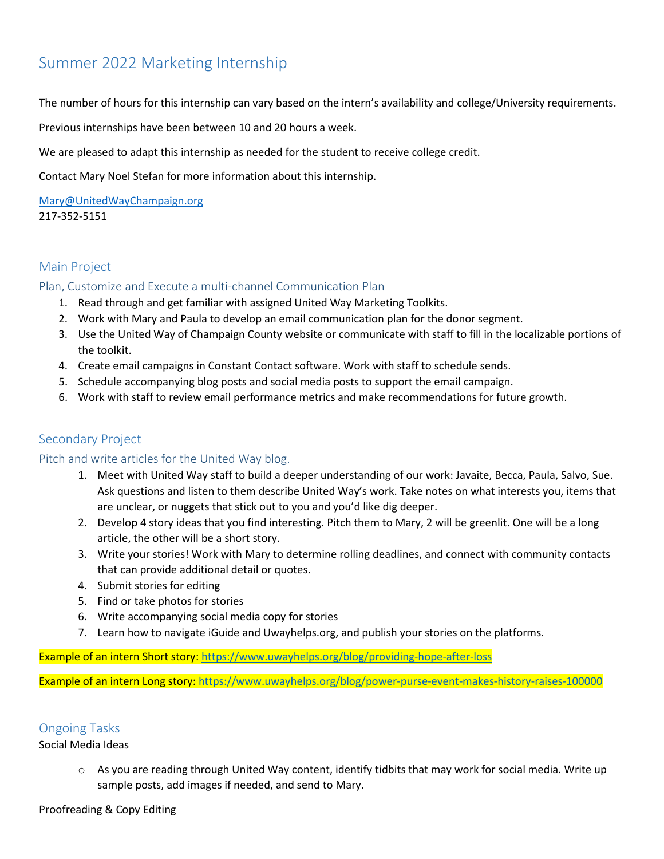# Summer 2022 Marketing Internship

The number of hours for this internship can vary based on the intern's availability and college/University requirements.

Previous internships have been between 10 and 20 hours a week.

We are pleased to adapt this internship as needed for the student to receive college credit.

Contact Mary Noel Stefan for more information about this internship.

[Mary@UnitedWayChampaign.org](mailto:Mary@UnitedWayChampaign.org) 217-352-5151

## Main Project

#### Plan, Customize and Execute a multi-channel Communication Plan

- 1. Read through and get familiar with assigned United Way Marketing Toolkits.
- 2. Work with Mary and Paula to develop an email communication plan for the donor segment.
- 3. Use the United Way of Champaign County website or communicate with staff to fill in the localizable portions of the toolkit.
- 4. Create email campaigns in Constant Contact software. Work with staff to schedule sends.
- 5. Schedule accompanying blog posts and social media posts to support the email campaign.
- 6. Work with staff to review email performance metrics and make recommendations for future growth.

## Secondary Project

#### Pitch and write articles for the United Way blog.

- 1. Meet with United Way staff to build a deeper understanding of our work: Javaite, Becca, Paula, Salvo, Sue. Ask questions and listen to them describe United Way's work. Take notes on what interests you, items that are unclear, or nuggets that stick out to you and you'd like dig deeper.
- 2. Develop 4 story ideas that you find interesting. Pitch them to Mary, 2 will be greenlit. One will be a long article, the other will be a short story.
- 3. Write your stories! Work with Mary to determine rolling deadlines, and connect with community contacts that can provide additional detail or quotes.
- 4. Submit stories for editing
- 5. Find or take photos for stories
- 6. Write accompanying social media copy for stories
- 7. Learn how to navigate iGuide and Uwayhelps.org, and publish your stories on the platforms.

Example of an intern Short story:<https://www.uwayhelps.org/blog/providing-hope-after-loss>

Example of an intern Long story:<https://www.uwayhelps.org/blog/power-purse-event-makes-history-raises-100000>

## Ongoing Tasks

Social Media Ideas

 $\circ$  As you are reading through United Way content, identify tidbits that may work for social media. Write up sample posts, add images if needed, and send to Mary.

Proofreading & Copy Editing